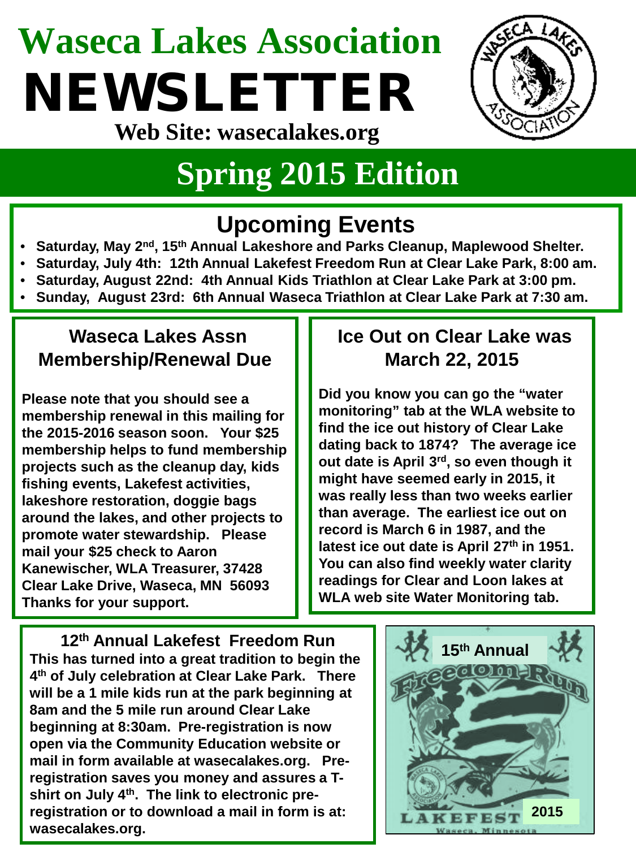# **Waseca Lakes Association** NEWSLETTER



**Web Site: wasecalakes.org**

### **Spring 2015 Edition**

### **Upcoming Events**

- **Saturday, May 2nd, 15th Annual Lakeshore and Parks Cleanup, Maplewood Shelter.**
- **Saturday, July 4th: 12th Annual Lakefest Freedom Run at Clear Lake Park, 8:00 am.**
- **Saturday, August 22nd: 4th Annual Kids Triathlon at Clear Lake Park at 3:00 pm.**
- **Sunday, August 23rd: 6th Annual Waseca Triathlon at Clear Lake Park at 7:30 am.**

#### **Waseca Lakes Assn Membership/Renewal Due**

**Please note that you should see a membership renewal in this mailing for the 2015-2016 season soon. Your \$25 membership helps to fund membership projects such as the cleanup day, kids fishing events, Lakefest activities, lakeshore restoration, doggie bags around the lakes, and other projects to promote water stewardship. Please mail your \$25 check to Aaron Kanewischer, WLA Treasurer, 37428 Clear Lake Drive, Waseca, MN 56093 Thanks for your support.**

#### **Ice Out on Clear Lake was March 22, 2015**

**Did you know you can go the "water monitoring" tab at the WLA website to find the ice out history of Clear Lake dating back to 1874? The average ice out date is April 3rd, so even though it might have seemed early in 2015, it was really less than two weeks earlier than average. The earliest ice out on record is March 6 in 1987, and the latest ice out date is April 27th in 1951. You can also find weekly water clarity readings for Clear and Loon lakes at WLA web site Water Monitoring tab.**

**12th Annual Lakefest Freedom Run This has turned into a great tradition to begin the 4th of July celebration at Clear Lake Park. There will be a 1 mile kids run at the park beginning at 8am and the 5 mile run around Clear Lake beginning at 8:30am. Pre-registration is now open via the Community Education website or mail in form available at wasecalakes.org. Preregistration saves you money and assures a Tshirt on July 4th. The link to electronic preregistration or to download a mail in form is at: wasecalakes.org.**